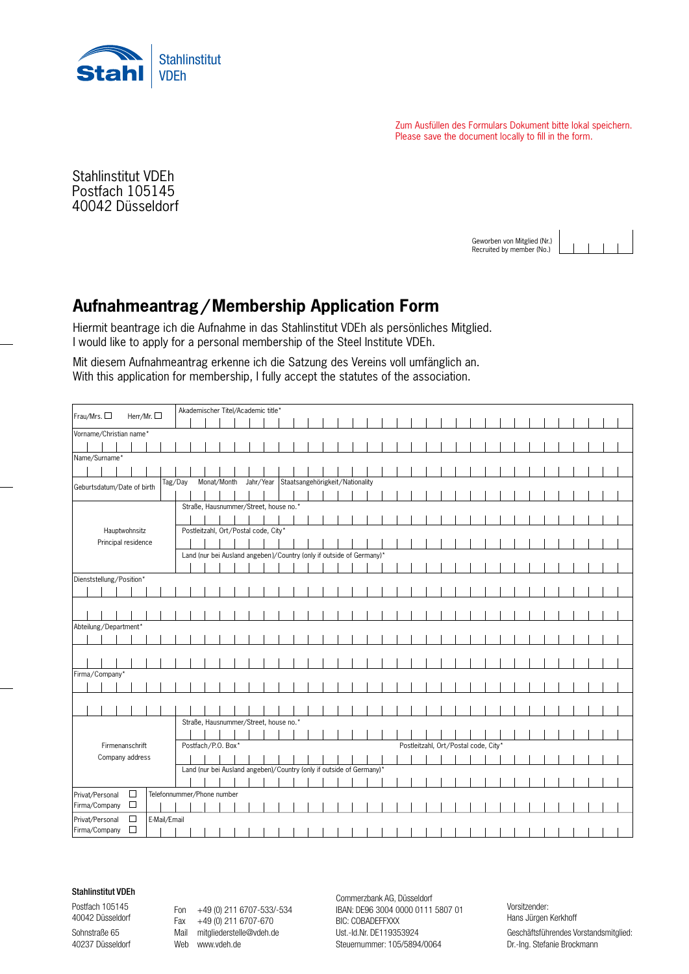

Zum Ausfüllen des Formulars Dokument bitte lokal speichern. Please save the document locally to fill in the form.

40042 Düsseldorf Sohnstraße 65 · 40237 Düsseldorf Stahlinstitut VDEh Postfach 105145

> Geworben von Mitglied (Nr.) Recruited by member (No.)

## **Aufnahmeantrag / Membership Application Form**

Hiermit beantrage ich die Aufnahme in das Stahlinstitut VDEh als persönliches Mitglied. I would like to apply for a personal membership of the Steel Institute VDEh.

Mit diesem Aufnahmeantrag erkenne ich die Satzung des Vereins voll umfänglich an. With this application for membership, I fully accept the statutes of the association.

| Frau/Mrs. O<br>Herr/Mr. $\square$     |        |              |                                      |                                                                      |                                       |                    |                                       | Akademischer Titel/Academic title*                                   |  |  |                                           |  |  |  |  |  |  |  |  |  |  |                                      |  |  |  |  |  |  |  |  |  |  |
|---------------------------------------|--------|--------------|--------------------------------------|----------------------------------------------------------------------|---------------------------------------|--------------------|---------------------------------------|----------------------------------------------------------------------|--|--|-------------------------------------------|--|--|--|--|--|--|--|--|--|--|--------------------------------------|--|--|--|--|--|--|--|--|--|--|
| Vorname/Christian name*               |        |              |                                      |                                                                      |                                       |                    |                                       |                                                                      |  |  |                                           |  |  |  |  |  |  |  |  |  |  |                                      |  |  |  |  |  |  |  |  |  |  |
|                                       |        |              |                                      |                                                                      |                                       |                    |                                       |                                                                      |  |  |                                           |  |  |  |  |  |  |  |  |  |  |                                      |  |  |  |  |  |  |  |  |  |  |
| Name/Surname*                         |        |              |                                      |                                                                      |                                       |                    |                                       |                                                                      |  |  |                                           |  |  |  |  |  |  |  |  |  |  |                                      |  |  |  |  |  |  |  |  |  |  |
|                                       |        |              |                                      |                                                                      |                                       |                    |                                       |                                                                      |  |  |                                           |  |  |  |  |  |  |  |  |  |  |                                      |  |  |  |  |  |  |  |  |  |  |
| Tag/Day<br>Geburtsdatum/Date of birth |        |              |                                      |                                                                      | Monat/Month                           |                    |                                       |                                                                      |  |  | Jahr/Year Staatsangehörigkeit/Nationality |  |  |  |  |  |  |  |  |  |  |                                      |  |  |  |  |  |  |  |  |  |  |
|                                       |        |              |                                      |                                                                      |                                       |                    |                                       |                                                                      |  |  |                                           |  |  |  |  |  |  |  |  |  |  |                                      |  |  |  |  |  |  |  |  |  |  |
|                                       |        |              |                                      |                                                                      |                                       |                    | Straße, Hausnummer/Street, house no.* |                                                                      |  |  |                                           |  |  |  |  |  |  |  |  |  |  |                                      |  |  |  |  |  |  |  |  |  |  |
|                                       |        |              |                                      |                                                                      |                                       |                    |                                       |                                                                      |  |  |                                           |  |  |  |  |  |  |  |  |  |  |                                      |  |  |  |  |  |  |  |  |  |  |
| Hauptwohnsitz                         |        |              | Postleitzahl, Ort/Postal code, City* |                                                                      |                                       |                    |                                       |                                                                      |  |  |                                           |  |  |  |  |  |  |  |  |  |  |                                      |  |  |  |  |  |  |  |  |  |  |
| Principal residence                   |        |              |                                      |                                                                      |                                       |                    |                                       |                                                                      |  |  |                                           |  |  |  |  |  |  |  |  |  |  |                                      |  |  |  |  |  |  |  |  |  |  |
|                                       |        |              |                                      | Land (nur bei Ausland angeben)/Country (only if outside of Germany)* |                                       |                    |                                       |                                                                      |  |  |                                           |  |  |  |  |  |  |  |  |  |  |                                      |  |  |  |  |  |  |  |  |  |  |
|                                       |        |              |                                      |                                                                      |                                       |                    |                                       |                                                                      |  |  |                                           |  |  |  |  |  |  |  |  |  |  |                                      |  |  |  |  |  |  |  |  |  |  |
| Dienststellung/Position*              |        |              |                                      |                                                                      |                                       |                    |                                       |                                                                      |  |  |                                           |  |  |  |  |  |  |  |  |  |  |                                      |  |  |  |  |  |  |  |  |  |  |
|                                       |        |              |                                      |                                                                      |                                       |                    |                                       |                                                                      |  |  |                                           |  |  |  |  |  |  |  |  |  |  |                                      |  |  |  |  |  |  |  |  |  |  |
|                                       |        |              |                                      |                                                                      |                                       |                    |                                       |                                                                      |  |  |                                           |  |  |  |  |  |  |  |  |  |  |                                      |  |  |  |  |  |  |  |  |  |  |
|                                       |        |              |                                      |                                                                      |                                       |                    |                                       |                                                                      |  |  |                                           |  |  |  |  |  |  |  |  |  |  |                                      |  |  |  |  |  |  |  |  |  |  |
| Abteilung/Department*                 |        |              |                                      |                                                                      |                                       |                    |                                       |                                                                      |  |  |                                           |  |  |  |  |  |  |  |  |  |  |                                      |  |  |  |  |  |  |  |  |  |  |
|                                       |        |              |                                      |                                                                      |                                       |                    |                                       |                                                                      |  |  |                                           |  |  |  |  |  |  |  |  |  |  |                                      |  |  |  |  |  |  |  |  |  |  |
|                                       |        |              |                                      |                                                                      |                                       |                    |                                       |                                                                      |  |  |                                           |  |  |  |  |  |  |  |  |  |  |                                      |  |  |  |  |  |  |  |  |  |  |
|                                       |        |              |                                      |                                                                      |                                       |                    |                                       |                                                                      |  |  |                                           |  |  |  |  |  |  |  |  |  |  |                                      |  |  |  |  |  |  |  |  |  |  |
| Firma/Company*                        |        |              |                                      |                                                                      |                                       |                    |                                       |                                                                      |  |  |                                           |  |  |  |  |  |  |  |  |  |  |                                      |  |  |  |  |  |  |  |  |  |  |
|                                       |        |              |                                      |                                                                      |                                       |                    |                                       |                                                                      |  |  |                                           |  |  |  |  |  |  |  |  |  |  |                                      |  |  |  |  |  |  |  |  |  |  |
|                                       |        |              |                                      |                                                                      |                                       |                    |                                       |                                                                      |  |  |                                           |  |  |  |  |  |  |  |  |  |  |                                      |  |  |  |  |  |  |  |  |  |  |
|                                       |        |              |                                      |                                                                      |                                       |                    |                                       |                                                                      |  |  |                                           |  |  |  |  |  |  |  |  |  |  |                                      |  |  |  |  |  |  |  |  |  |  |
|                                       |        |              |                                      |                                                                      | Straße, Hausnummer/Street, house no.* |                    |                                       |                                                                      |  |  |                                           |  |  |  |  |  |  |  |  |  |  |                                      |  |  |  |  |  |  |  |  |  |  |
|                                       |        |              |                                      |                                                                      |                                       |                    |                                       |                                                                      |  |  |                                           |  |  |  |  |  |  |  |  |  |  |                                      |  |  |  |  |  |  |  |  |  |  |
| Firmenanschrift                       |        |              |                                      |                                                                      |                                       | Postfach/P.O. Box* |                                       |                                                                      |  |  |                                           |  |  |  |  |  |  |  |  |  |  | Postleitzahl, Ort/Postal code, City* |  |  |  |  |  |  |  |  |  |  |
| Company address                       |        |              |                                      |                                                                      |                                       |                    |                                       |                                                                      |  |  |                                           |  |  |  |  |  |  |  |  |  |  |                                      |  |  |  |  |  |  |  |  |  |  |
|                                       |        |              |                                      |                                                                      |                                       |                    |                                       | Land (nur bei Ausland angeben)/Country (only if outside of Germany)* |  |  |                                           |  |  |  |  |  |  |  |  |  |  |                                      |  |  |  |  |  |  |  |  |  |  |
|                                       |        |              |                                      |                                                                      |                                       |                    |                                       |                                                                      |  |  |                                           |  |  |  |  |  |  |  |  |  |  |                                      |  |  |  |  |  |  |  |  |  |  |
| $\Box$<br>Privat/Personal             |        |              |                                      |                                                                      | Telefonnummer/Phone number            |                    |                                       |                                                                      |  |  |                                           |  |  |  |  |  |  |  |  |  |  |                                      |  |  |  |  |  |  |  |  |  |  |
| Firma/Company                         | $\Box$ |              |                                      |                                                                      |                                       |                    |                                       |                                                                      |  |  |                                           |  |  |  |  |  |  |  |  |  |  |                                      |  |  |  |  |  |  |  |  |  |  |
| Privat/Personal                       | $\Box$ | E-Mail/Email |                                      |                                                                      |                                       |                    |                                       |                                                                      |  |  |                                           |  |  |  |  |  |  |  |  |  |  |                                      |  |  |  |  |  |  |  |  |  |  |
| Firma/Company                         | $\Box$ |              |                                      |                                                                      |                                       |                    |                                       |                                                                      |  |  |                                           |  |  |  |  |  |  |  |  |  |  |                                      |  |  |  |  |  |  |  |  |  |  |

## Stahlinstitut VDEh

Postfach 105145 40042 Düsseldorf

Sohnstraße 65 40237 Düsseldorf

Fon +49 (0) 211 6707-533/-534 Fax +49 (0) 211 6707-670 Mail mitgliederstelle@vdeh.de Web www.vdeh.de

Commerzbank AG, Düsseldorf IBAN: DE96 3004 0000 0111 5807 01 BIC: COBADEFFXXX Ust.-Id.Nr. DE119353924 Steuernummer: 105/5894/0064

Vorsitzender: Hans Jürgen Kerkhoff Geschäftsführendes Vorstandsmitglied: Dr.-Ing. Stefanie Brockmann